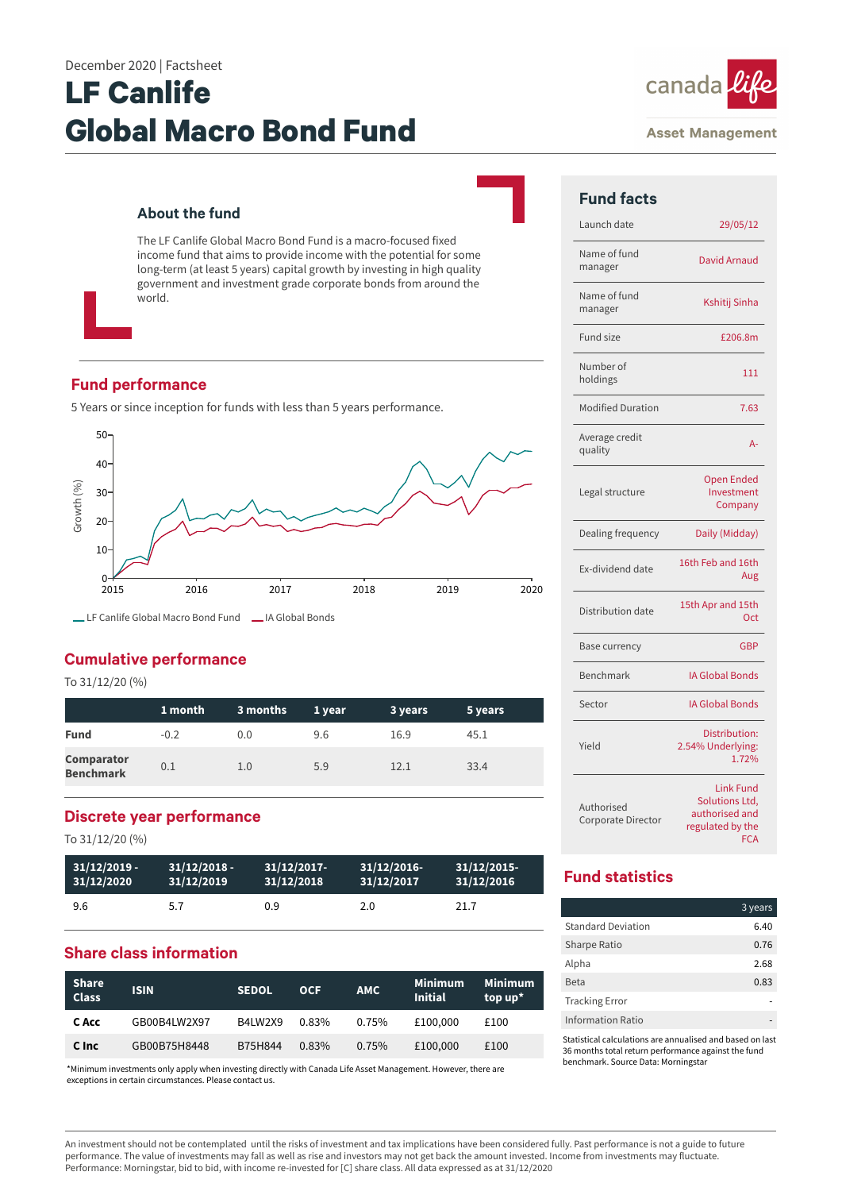# **LF Canlife Global Macro Bond Fund**

## **About the fund**

The LF Canlife Global Macro Bond Fund is a macro-focused fixed income fund that aims to provide income with the potential for some long-term (at least 5 years) capital growth by investing in high quality government and investment grade corporate bonds from around the world.

## **Fund performance**

5 Years or since inception for funds with less than 5 years performance.



LF Canlife Global Macro Bond Fund LA Global Bonds

# **Cumulative performance**

To 31/12/20 (%)

|                                       | 1 month | 3 months | 1 year | 3 years | 5 years |
|---------------------------------------|---------|----------|--------|---------|---------|
| <b>Fund</b>                           | $-0.2$  | 0.0      | 9.6    | 16.9    | 45.1    |
| <b>Comparator</b><br><b>Benchmark</b> | 0.1     | 1.0      | 5.9    | 12.1    | 33.4    |

## **Discrete year performance**

To 31/12/20 (%)

| $31/12/2019 -$ | $31/12/2018$ - | $31/12/2017$ - | $31/12/2016$ - | 31/12/2015 |
|----------------|----------------|----------------|----------------|------------|
| 31/12/2020     | 31/12/2019     | 31/12/2018     | 31/12/2017     | 31/12/2016 |
| 9.6            | 5.7            | 0.9            | 2.0            | 21.7       |

## **Share class information**

| <b>Share</b><br><b>Class</b> | <b>ISIN</b>  | <b>SEDOL</b> | <b>OCF</b> | <b>AMC</b> | <b>Minimum</b><br><b>Initial</b> | <b>Minimum</b><br>top $up^*$ |
|------------------------------|--------------|--------------|------------|------------|----------------------------------|------------------------------|
| C Acc                        | GB00B4LW2X97 | B4LW2X9      | 0.83%      | 0.75%      | £100,000                         | £100                         |
| C Inc                        | GB00B75H8448 | B75H844      | 0.83%      | 0.75%      | £100,000                         | £100                         |

\*Minimum investments only apply when investing directly with Canada Life Asset Management. However, there are exceptions in certain circumstances. Please contact us.



#### **Asset Management**

| <b>Fund facts</b>                |                                                                                 |
|----------------------------------|---------------------------------------------------------------------------------|
| Launch date                      | 29/05/12                                                                        |
| Name of fund<br>manager          | <b>David Arnaud</b>                                                             |
| Name of fund<br>manager          | Kshitij Sinha                                                                   |
| Fund size                        | £206.8m                                                                         |
| Number of<br>holdings            | 111                                                                             |
| <b>Modified Duration</b>         | 7.63                                                                            |
| Average credit<br>quality        | $A -$                                                                           |
| Legal structure                  | <b>Open Ended</b><br>Investment<br>Company                                      |
| Dealing frequency                | Daily (Midday)                                                                  |
| Ex-dividend date                 | 16th Feb and 16th<br>Aug                                                        |
| Distribution date                | 15th Apr and 15th<br>Oct                                                        |
| Base currency                    | <b>GBP</b>                                                                      |
| Benchmark                        | <b>IA Global Bonds</b>                                                          |
| Sector                           | <b>IA Global Bonds</b>                                                          |
| Yield                            | Distribution:<br>2.54% Underlying:<br>1.72%                                     |
| Authorised<br>Corporate Director | <b>Link Fund</b><br>Solutions Ltd,<br>authorised and<br>regulated by the<br>FCA |

# **Fund statistics**

|                           | 3 years |
|---------------------------|---------|
| <b>Standard Deviation</b> | 6.40    |
| <b>Sharpe Ratio</b>       | 0.76    |
| Alpha                     | 2.68    |
| <b>Beta</b>               | 0.83    |
| <b>Tracking Error</b>     |         |
| Information Ratio         |         |

Statistical calculations are annualised and based on last 36 months total return performance against the fund benchmark. Source Data: Morningstar